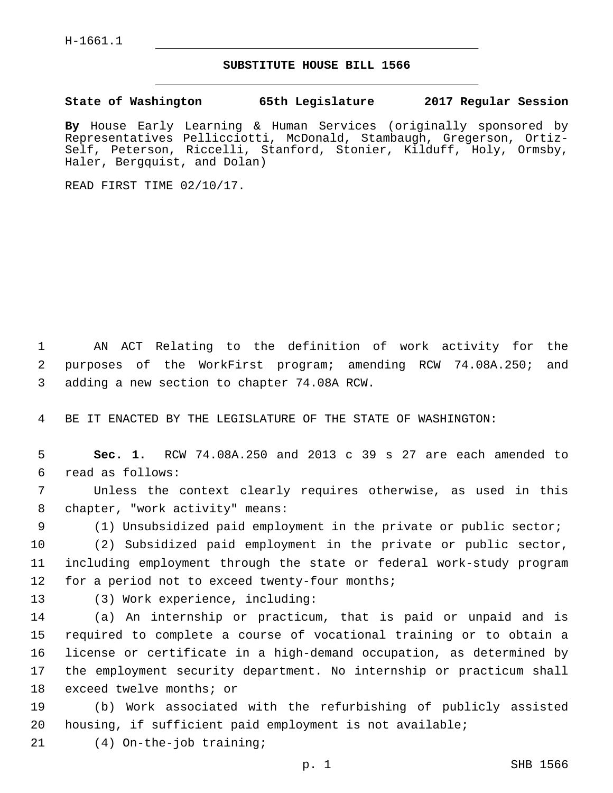## **SUBSTITUTE HOUSE BILL 1566**

**State of Washington 65th Legislature 2017 Regular Session**

**By** House Early Learning & Human Services (originally sponsored by Representatives Pellicciotti, McDonald, Stambaugh, Gregerson, Ortiz-Self, Peterson, Riccelli, Stanford, Stonier, Kilduff, Holy, Ormsby, Haler, Bergquist, and Dolan)

READ FIRST TIME 02/10/17.

1 AN ACT Relating to the definition of work activity for the 2 purposes of the WorkFirst program; amending RCW 74.08A.250; and 3 adding a new section to chapter 74.08A RCW.

4 BE IT ENACTED BY THE LEGISLATURE OF THE STATE OF WASHINGTON:

5 **Sec. 1.** RCW 74.08A.250 and 2013 c 39 s 27 are each amended to read as follows:6

7 Unless the context clearly requires otherwise, as used in this 8 chapter, "work activity" means:

9 (1) Unsubsidized paid employment in the private or public sector;

10 (2) Subsidized paid employment in the private or public sector, 11 including employment through the state or federal work-study program 12 for a period not to exceed twenty-four months;

13 (3) Work experience, including:

 (a) An internship or practicum, that is paid or unpaid and is required to complete a course of vocational training or to obtain a license or certificate in a high-demand occupation, as determined by the employment security department. No internship or practicum shall 18 exceed twelve months; or

19 (b) Work associated with the refurbishing of publicly assisted 20 housing, if sufficient paid employment is not available;

21 (4) On-the-job training;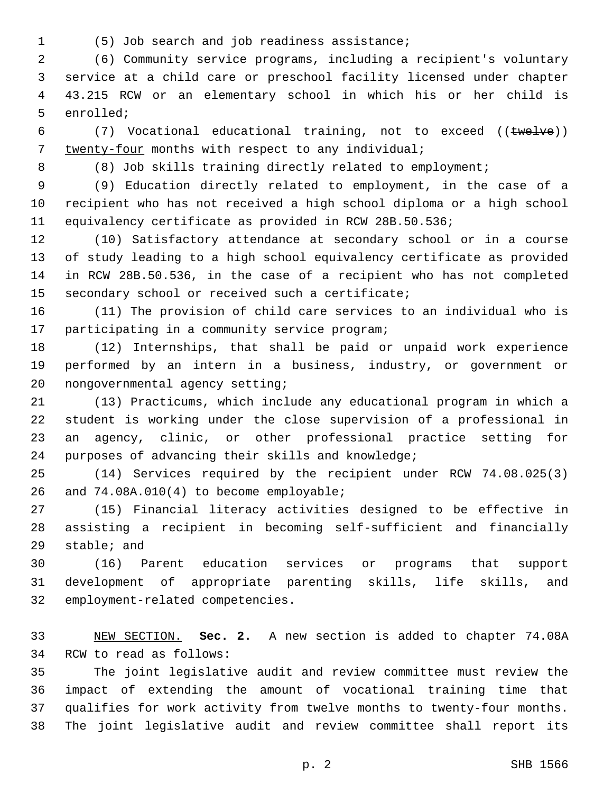- 
- (5) Job search and job readiness assistance;1

 (6) Community service programs, including a recipient's voluntary service at a child care or preschool facility licensed under chapter 43.215 RCW or an elementary school in which his or her child is 5 enrolled;

6 (7) Vocational educational training, not to exceed ((twelve)) twenty-four months with respect to any individual;7

8 (8) Job skills training directly related to employment;

 (9) Education directly related to employment, in the case of a recipient who has not received a high school diploma or a high school equivalency certificate as provided in RCW 28B.50.536;

 (10) Satisfactory attendance at secondary school or in a course of study leading to a high school equivalency certificate as provided in RCW 28B.50.536, in the case of a recipient who has not completed 15 secondary school or received such a certificate;

 (11) The provision of child care services to an individual who is 17 participating in a community service program;

 (12) Internships, that shall be paid or unpaid work experience performed by an intern in a business, industry, or government or 20 nongovernmental agency setting;

 (13) Practicums, which include any educational program in which a student is working under the close supervision of a professional in an agency, clinic, or other professional practice setting for 24 purposes of advancing their skills and knowledge;

 (14) Services required by the recipient under RCW 74.08.025(3) 26 and 74.08A.010(4) to become employable;

 (15) Financial literacy activities designed to be effective in assisting a recipient in becoming self-sufficient and financially 29 stable; and

 (16) Parent education services or programs that support development of appropriate parenting skills, life skills, and 32 employment-related competencies.

 NEW SECTION. **Sec. 2.** A new section is added to chapter 74.08A 34 RCW to read as follows:

 The joint legislative audit and review committee must review the impact of extending the amount of vocational training time that qualifies for work activity from twelve months to twenty-four months. The joint legislative audit and review committee shall report its